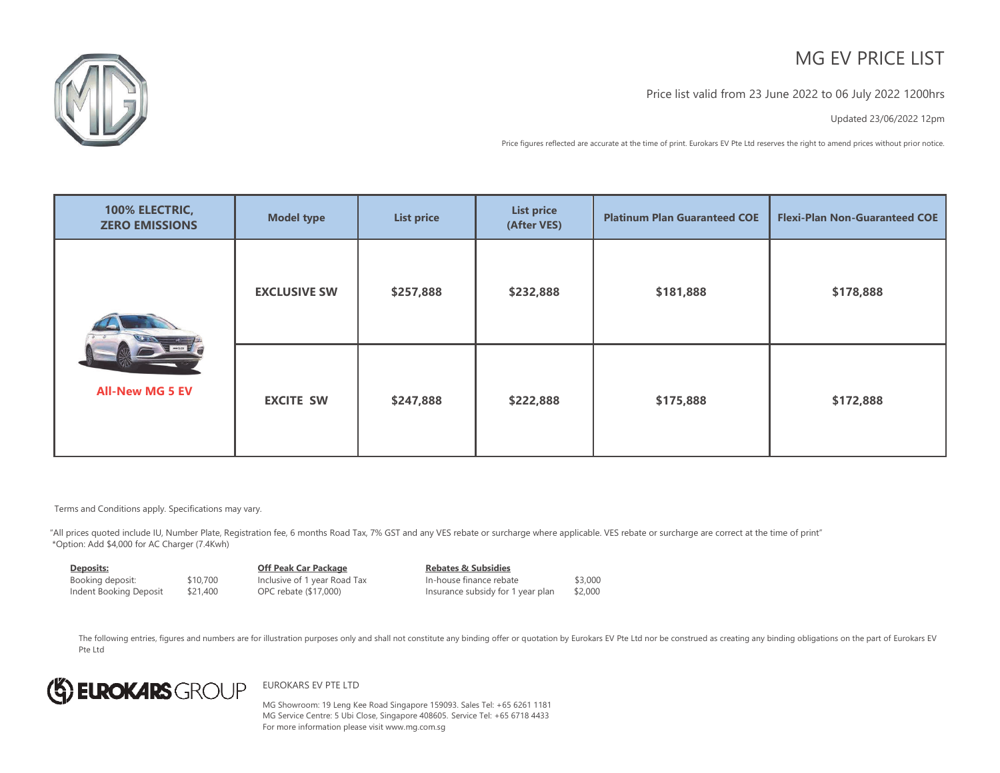# MG FV PRICE LIST



### Price list valid from 23 June 2022 to 06 July 2022 1200hrs

Updated 23/06/2022 12pm

Price figures reflected are accurate at the time of print. Eurokars EV Pte Ltd reserves the right to amend prices without prior notice.

| 100% ELECTRIC,<br><b>ZERO EMISSIONS</b> | <b>Model type</b>   | <b>List price</b> | <b>List price</b><br>(After VES) | <b>Platinum Plan Guaranteed COE</b> | <b>Flexi-Plan Non-Guaranteed COE</b> |
|-----------------------------------------|---------------------|-------------------|----------------------------------|-------------------------------------|--------------------------------------|
|                                         | <b>EXCLUSIVE SW</b> | \$257,888         | \$232,888                        | \$181,888                           | \$178,888                            |
| <b>All-New MG 5 EV</b>                  | <b>EXCITE SW</b>    | \$247,888         | \$222,888                        | \$175,888                           | \$172,888                            |

Terms and Conditions apply. Specifications may vary.

"All prices quoted include IU, Number Plate, Registration fee, 6 months Road Tax, 7% GST and any VES rebate or surcharge where applicable. VES rebate or surcharge are correct at the time of print" \*Option: Add \$4,000 for AC Charger (7.4Kwh)

| Deposits:              |          | <b>Off Peak Car Package</b>  | <b>Rebates &amp; Subsidies</b>    |         |
|------------------------|----------|------------------------------|-----------------------------------|---------|
| Booking deposit:       | \$10,700 | Inclusive of 1 year Road Tax | In-house finance rebate           | \$3,000 |
| Indent Booking Deposit | \$21,400 | OPC rebate (\$17,000)        | Insurance subsidy for 1 year plan | \$2,000 |

The following entries, figures and numbers are for illustration purposes only and shall not constitute any binding offer or quotation by Eurokars EV Pte Ltd nor be construed as creating any binding obligations on the part Pte Ltd



#### EUROKARS EV PTE LTD

MG Showroom: 19 Leng Kee Road Singapore 159093. Sales Tel: +65 6261 1181 MG Service Centre: 5 Ubi Close, Singapore 408605. Service Tel: +65 6718 4433 For more information please visit www.mg.com.sg